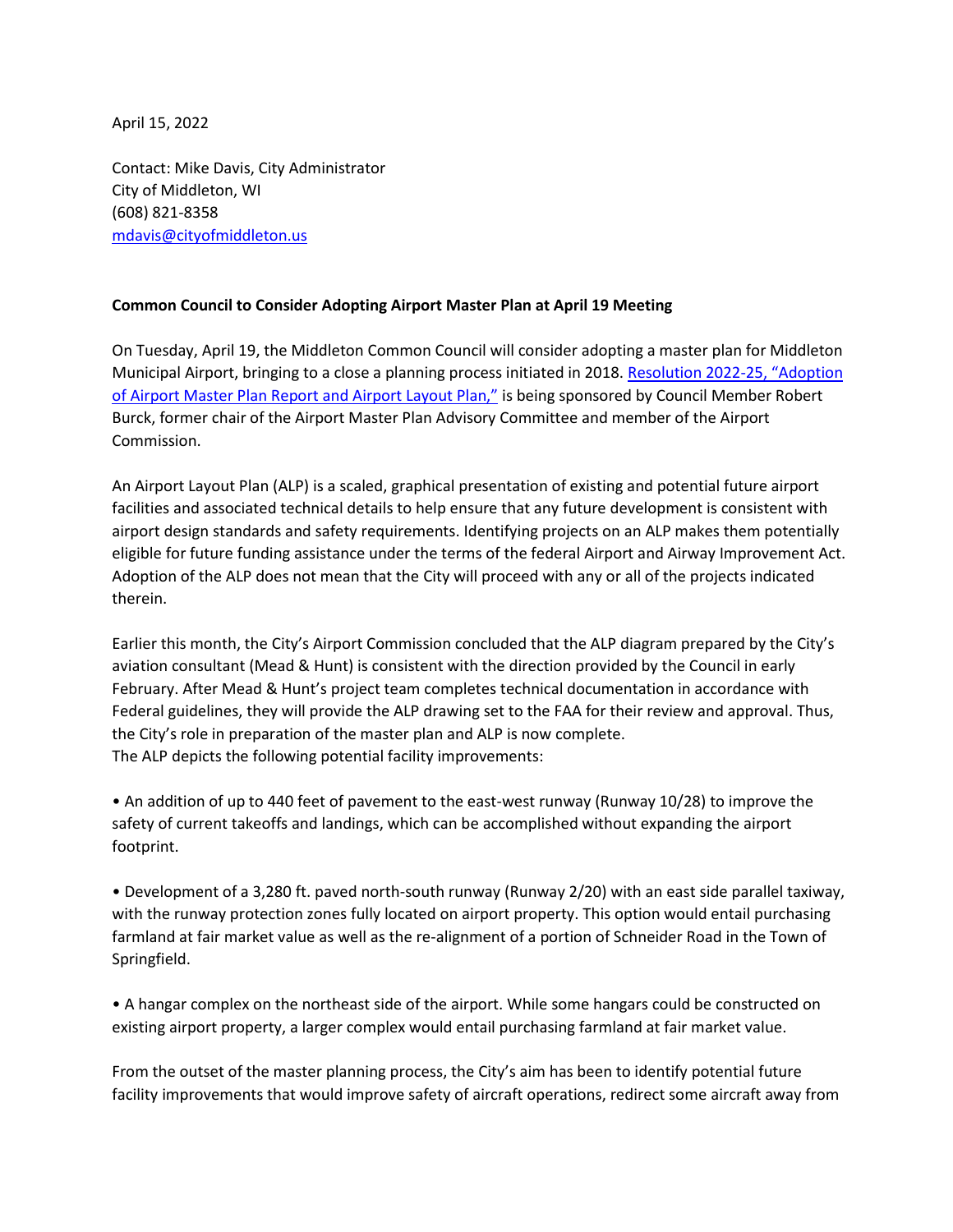April 15, 2022

Contact: Mike Davis, City Administrator City of Middleton, WI (608) 821-8358 [mdavis@cityofmiddleton.us](mailto:mdavis@cityofmiddleton.us)

## **Common Council to Consider Adopting Airport Master Plan at April 19 Meeting**

On Tuesday, April 19, the Middleton Common Council will consider adopting a master plan for Middleton Municipal Airport, bringing to a close a planning process initiated in 2018. [Resolution 2022-](https://www.cityofmiddleton.us/DocumentCenter/View/9943/Proposed-Resolution-2022-25-Adoption-of-Airport-Master-Plan-Report-and-Airport-Layout-Plan?bidId=)25, "Adoption [of Airport Master Plan Report and Airport Layout Plan,"](https://www.cityofmiddleton.us/DocumentCenter/View/9943/Proposed-Resolution-2022-25-Adoption-of-Airport-Master-Plan-Report-and-Airport-Layout-Plan?bidId=) is being sponsored by Council Member Robert Burck, former chair of the Airport Master Plan Advisory Committee and member of the Airport Commission.

An Airport Layout Plan (ALP) is a scaled, graphical presentation of existing and potential future airport facilities and associated technical details to help ensure that any future development is consistent with airport design standards and safety requirements. Identifying projects on an ALP makes them potentially eligible for future funding assistance under the terms of the federal Airport and Airway Improvement Act. Adoption of the ALP does not mean that the City will proceed with any or all of the projects indicated therein.

Earlier this month, the City's Airport Commission concluded that the ALP diagram prepared by the City's aviation consultant (Mead & Hunt) is consistent with the direction provided by the Council in early February. After Mead & Hunt's project team completes technical documentation in accordance with Federal guidelines, they will provide the ALP drawing set to the FAA for their review and approval. Thus, the City's role in preparation of the master plan and ALP is now complete. The ALP depicts the following potential facility improvements:

• An addition of up to 440 feet of pavement to the east-west runway (Runway 10/28) to improve the safety of current takeoffs and landings, which can be accomplished without expanding the airport footprint.

• Development of a 3,280 ft. paved north-south runway (Runway 2/20) with an east side parallel taxiway, with the runway protection zones fully located on airport property. This option would entail purchasing farmland at fair market value as well as the re-alignment of a portion of Schneider Road in the Town of Springfield.

• A hangar complex on the northeast side of the airport. While some hangars could be constructed on existing airport property, a larger complex would entail purchasing farmland at fair market value.

From the outset of the master planning process, the City's aim has been to identify potential future facility improvements that would improve safety of aircraft operations, redirect some aircraft away from